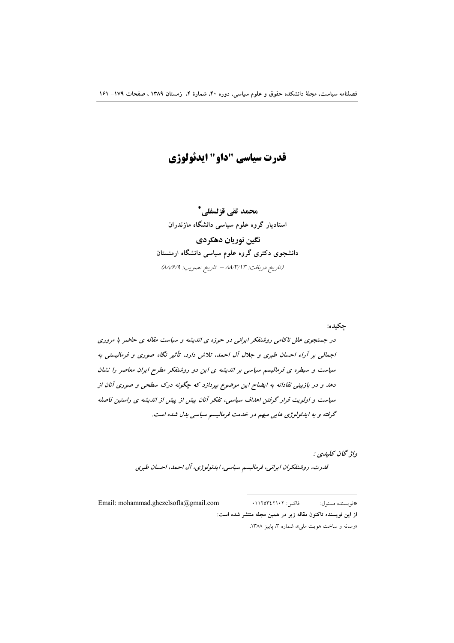قدرت سياسي "داو" ايدئولوژي

محمد تقي قزلسفلي \* استادیار گروه علوم سیاسی دانشگاه مازندران نگین نوریان دهکردی دانشجوی دکتری گروه علوم سیاسی دانشگاه ارمنستان (تاريخ دريافت: ٨٨/٣/١٣ - تاريخ تصويب: ٨٨/٦/٩)

در جستجوی علل ناکامی روشنفکر ایرانی در حوزه ی اندیشه و سیاست مقاله ی حاضر با مروری اجمالی بر آراء احسان طبری و جلال آل احمد، تلاش دارد، تأثیر نگاه صوری و فرمالیستی به سیاست و سیطره ی فرمالیسم سیاسی بر اندیشه ی این دو روشنفکر مطرح ایران معاصر را نشان دهد و در بازبینی نقادانه به ایضاح این موضوع بپردازد که چگونه درک سطحی و صوری آنان از سیاست و اولویت قرار گرفتن اهداف سیاسی، تفکر آنان بیش از پیش از اندیشه ی راستین فاصله گرفته و به ایدئولوژی هایی مبهم در خدمت فرمالیسم سیاسی بدل شده است.

> واژ گان کليدي : قلىرت، روشنفكران ايراني، فرماليسم سياسي، ايلئولوژي، آل احمله، احسان طبري

چکیده:

Email: mohammad.ghezelsofla@gmail.com فاكس: ١١٢٥٣٤٢١٠٢. #نويسنده مسئول: از این نویسنده تاکنون مقاله زیر در همین مجله منتشر شده است: «رسانه و ساخت هویت ملی»، شماره ۳، پاییز ۱۳۸۸.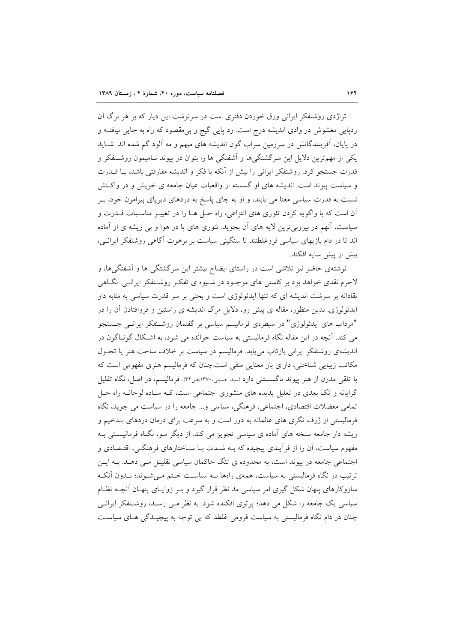تراژدی روشنفکر ایرانی ورق خوردن دفتری است در سرنوشت این دیار که بر هر برگ آن ردپایی مغشوش در وادی اندیشه درج است. رد پایی گیج و بی مقصود که راه به جایی نیافتـه و در پایان، آفرینندگانش در سرزمین سراب گون اندیشه های مبهم و مه آلود گم شده اند. شـاید یکی از مهمترین دلایل این سرگشتگیها و آشفتگی ها را بتوان در پیوند نـامیمون روشــنفکر و قدرت جستجو کرد. روشنفکر ایرانی را بیش از آنکه با فکر و اندیشه مفارقتی باشد، بـا قــدرت و سیاست پیوند است. اندیشه های او گسسته از واقعیات عیان جامعه ی خویش و در واکنش نسبت به قدرت سیاسی معنا می یابند، و او به جای پاسخ به دردهای دیرپای پیرامون خود، بـر آن است که با واگو به کردن تئوری های انتزاعی، راه حـل هــا را در تغییــر مناسـبات قــدرت و سیاست، آنهم در بیرونی ترین لایه های آن بجوید. تئوری های یا در هوا و بی ریشه ی او آماده اند تا در دام بازیهای سیاسی فروغلطتند تا سنگینی سیاست بر برهوت آگاهی روشنفکر ایرانبی، بيش از پيش سايه افكند.

نوشتهی حاضر نیز تلاشی است در راستای ایضاح بیشتر این سرگشتگی ها و آشفتگیها، و لاجرم نقدی خواهد بود بر کاستی های موجـود در شـیوه ی تفکـر روشـنفکر ایرانـی. نگـاهی نقادانه بر سرشت اندیشه ای که تنها ایدئولوژی است و بحثی بر سر قدرت سیاسی به مثابه داو ایدئولوژی. بدین منظور، مقاله ی پیش رو، دلایل مرگ اندیشه ی راستین و فروافتادن آن را در "مرداب های ایدئولوژی" در سیطروی فرمالیسم سیاسی بر گفتمان روشـنفکر ایرانـی جـستجو می کند. آنچه در این مقاله نگاه فرمالیستی به سیاست خوانده می شود، به اشـکال گونـاگون در اندیشهی روشنفکر ایرانی بازتاب می یابد. فرمالیسم در سیاست بر خلاف ساحت هنر یا تحـول مکاتب زیبایی شناختی، دارای بار معنایی منفی است.چنان که فرمالیسم هنری مفهومی است که با تلقی مدرن از هنر پیوند ناگسستنی دارد (سید حسینی،۱۳۷۰،ص۳۲). فرمالیسم، در اصل، نگاه تقلیل گرایانه و تک بعدی در تعلیل پدیده های منشوری اجتماعی است، کـه سـاده لوحانـه راه حـل تمامی معضلات اقتصادی، اجتماعی، فرهنگی، سیاسی و... جامعه را در سیاست می جوید، نگاه فرمالیستی از ژرف نگری های عالمانه به دور است و به سرعت برای درمان دردهای بــدخیم و ریشه دار جامعه نسخه های آماده ی سیاسی تجویز می کند. از دیگر سو، نگـاه فرمالیــستی بـه مفهوم سیاست، آن را از فر آیندی پیچیده که بـه شــدت بـا ســاختارهای فرهنگــی، اقتــصادی و اجتماعی جامعه در پیوند است، به محدوده ی تنگ حاکمان سیاسی تقلیـل مـی دهـد. بـه ایـن ترتیب در نگاه فرمالیستی به سیاست، همهی راهها بـه سیاسـت خـتم مـی شـوند؛ بـدون آنکـه سازوکارهای پنهان شکل گیری امر سیاسی مد نظر قرار گیرد و بــر زوایــای پنهــان آنچــه نظــام سیاسی یک جامعه را شکل می دهد؛ پرتوی افکنده شود. به نظر مـی رسـد، روشـنفکر ایرانـی چنان در دام نگاه فرمالیستی به سیاست فرومی غلطد که بی توجه به پیچیـدگی هـای سیاسـت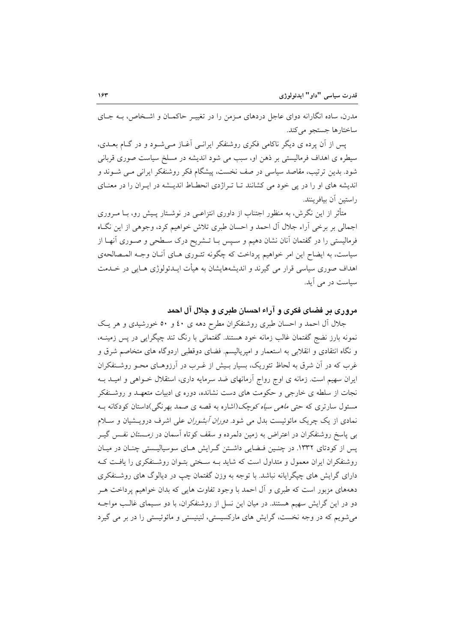مدرن، ساده انگارانه دوای عاجل دردهای مـزمن را در تغییـر حاکمـان و اشـخاص، بــه جــای ساختارها جستجو مے کند.

پس از آن پرده ی دیگر ناکامی فکری روشنفکر ایرانسی آغـاز مـی شـود و در گـام بعــدی، سیطره ی اهداف فرمالیستی بر ذهن او، سبب می شود اندیشه در مسلخ سیاست صوری قربانی شود. بدین ترتیب، مقاصد سیاسی در صف نخست، پیشگام فکر روشنفکر ایرانی مـی شــوند و اندیشه های او را در پی خود می کشانند تـا تـراژدی انحطـاط اندیـشه در ایـران را در معنـای راستين اّن بيافرينند.

متأثر از این نگرش، به منظور اجتناب از داوری انتزاعـی در نوشــتار پــیش رو، بــا مــروری اجمالی بر برخی اَراء جلال اَل احمد و احسان طبری تلاش خواهیم کرد، وجوهی از این نگـاه فرمالیستی را در گفتمان آنان نشان دهیم و سـپس بــا تــشریح درک ســطحی و صــوری آنهــا از سیاست، به ایضاح این امر خواهیم پرداخت که چگونه تئـوری هـای آنـان وجـه المـصالحهی اهداف صوری سیاسی قرار می گیرند و اندیشههایشان به هیأت ایــدئولوژی هــایی در خــدمت سیاست در می آید.

مروری بر فضای فکری و آراء احسان طبری و جلال آل احمد

جلال آل احمد و احسان طبری روشنفکران مطرح دهه ی ٤٠ و ٥٠ خورشیدی و هر یک نمونه بارز نضج گفتمان غالب زمانه خود هستند. گفتمانی با رنگ تند چیگرایی در پس زمینــه، و نگاه انتقادی و انقلابی به استعمار و امپریالیسم. فضای دوقطبی اردوگاه های متخاصم شرق و غرب که در آن شرق به لحاظ تئوریک، بسیار بـیش از غـرب در آرزوهـای محـو روشــنفکران ایران سهیم است. زمانه ی اوج رواج آرمانهای ضد سرمایه داری، استقلال خـواهی و امیــد بــه نجات از سلطه ی خارجی و حکومت های دست نشانده، دوره ی ادبیات متعهـد و روشـنفکر مسئول سارتری که حتی *ماهی سیاه کوچک(*اشاره به قصه ی صمد بهرنگی)داستان کودکانه بـه نمادی از یک چریک مائوئیست بدل می شود. *دوران آبشوران علی* اشرف درویـشیان و سـلام بی یاسخ روشنفکران در اعتراض به زمین دلمرده و سقف کوتاه آسمان در *زمـستان* نفـس گیــر پس از کودتای ۱۳۳۲. در چنین فیضایی داشتن گرایش های سوسیالیستی چنان در میان روشنفکران ایران معمول و متداول است که شاید بـه سـختی بتـوان روشـنفکری را یافـت کـه دارای گرایش های چیگرایانه نباشد. با توجه به وزن گفتمان چپ در دیالوگ های روشـنفکری دهههای مزبور است که طبری و آل احمد با وجود تفاوت هایی که بدان خواهیم پرداخت هـر دو در این گرایش سهیم هستند. در میان این نسل از روشنفکران، با دو سـیمای غالـب مواجـه می شویم که در وجه نخست، گرایش های مارکسیستی، لنینیستی و مائوئیستی را در بر می گیرد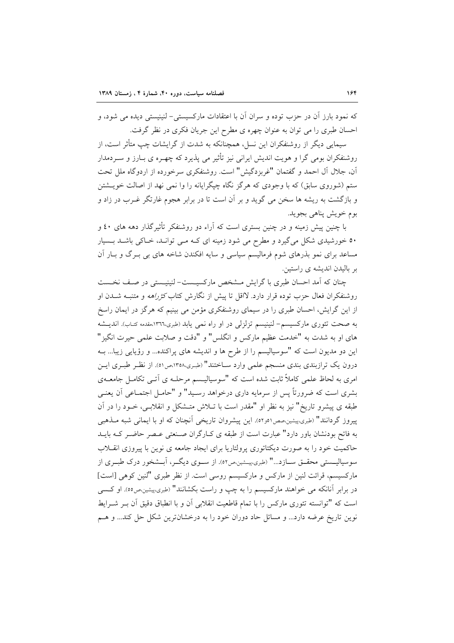که نمود بارز آن در حزب توده و سران آن با اعتقادات مارکسیستی- لنینیستی دیده می شود، و احسان طبری را می توان به عنوان چهره ی مطرح این جریان فکری در نظر گرفت.

سیمایی دیگر از روشنفکران این نسل، همچنانکه به شدت از گرایشات چپ متأثر است، از روشنفکران بومی گرا و هویت اندیش ایرانی نیز تأثیر می پذیرد که چهـره ی بـارز و سـردمدار آن، جلال آل احمد و گفتمان "غربزدگیش" است. روشنفکری سرخورده از اردوگاه ملل تحت ستم (شوروی سابق) که با وجودی که هرگز نگاه چپگرایانه را وا نمی نهد از اصالت خویــشتن و بازگشت به ریشه ها سخن می گوید و بر آن است تا در برابر هجوم غارتگر غــرب در زاد و بوم خويش پناهي بجويد.

با چنین پیش زمینه و در چنین بستری است که آراء دو روشنفکر تأثیرگذار دهه های ٤٠ و ٥٠ خورشیدی شکل میگیرد و مطرح می شود زمینه ای کـه مـی توانـد، خـاکی باشـد بـسیار مساعد برای نمو بذرهای شوم فرمالیسم سیاسی و سایه افکندن شاخه های بی بـرگ و بـار آن بر بالیدن اندیشه ی راستین.

چنان که آمد احسان طبری با گرایش مـشخص مارکسیـست- لنینیـستی در صـف نخـست روشنفکران فعال حزب توده قرار دارد. لااقل تا پیش از نگارش کتاب *کژراهه و متنبه شـدن او* از این گرایش، احسان طبری را در سیمای روشنفکری مؤمن می بینیم که هرگز در ایمان راسخ به صحت تئوری مارکسیسم– لنینیسم تزلزلی در او راه نمی یابد (طبری،١٣٦٦،مقدمه کتـاب). اندیــشه های او به شدت به "خدمت عظیم مارکس و انگلس" و "دقت و صلابت علمی حیرت انگیز" این دو مدیون است که "سوسیالیسم را از طرح ها و اندیشه های پراکنده... و رؤیایی زیبا... بــه درون یک ترازبندی بندی منسجم علمی وارد ســاختند" (طبـری،۱۳۵۸مـر۱۵). از نظـر طبـری ایــن امری به لحاظ علمی کاملاً ثابت شده است که "سوسیالیـسم مرحلـه ی اّتـی تکامـل جامعـهی بشری است که ضرورتاً پس از سرمایه داری درخواهد رسـید" و "حامـل اجتمـاعی آن یعنـی طبقه ی پیشرو تاریخ" نیز به نظر او "مقدر است با تــلاش متــشکل و انقلابــی، خــود را در آن پیروز گردانند" (طبری،پیشین،صص۱۰و۵۲). این پیشروان تاریخی آنچنان که او با ایمانی شبه مـذهبی به فاتح بودنشان باور دارد" عبارت است از طبقه ی کـارگران صـنعتی عـصر حاضـر کـه بایـد حاکمیت خود را به صورت دیکتاتوری پرولتاریا برای ایجاد جامعه ی نوین با پیروزی انقیلاب سوسیالیــستی محقــق ســازد..." (طبری،پیــشین،ص٥٢). از ســـوی دیگــر، آبــشخور درک طبــری از ماركسيسم، قرائت لنين از ماركس و ماركسيسم روسي است. از نظر طبري "لنين كوهي [است] در برابر آنانکه می خواهند مارکسیسم را به چپ و راست بکشانند" (طبری،پیشین،ص٥٥). او کـسی است که "توانسته تئوری مارکس را با تمام قاطعیت انقلابی آن و با انطباق دقیق آن بـر شــرایط نوین تاریخ عرضه دارد... و مسائل حاد دوران خود را به درخشانترین شکل حل کند... و هـم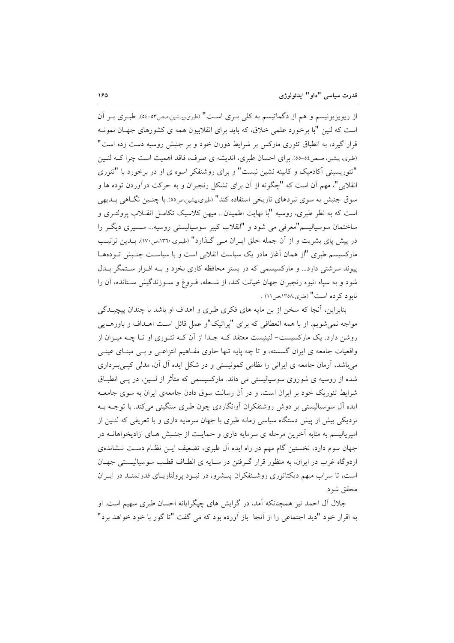از ریویزیونیسم و هم از دگماتیسم به کلی بـری اسـت" (طبری،پیـشین،صص٥٣-٥٤). طبـری بـر آن است که لنین "با برخورد علمی خلاق، که باید برای انقلابیون همه ی کشورهای جهـان نمونـه قرار گیرد، به انطباق تئوری مارکس بر شرایط دوران خود و بر جنبش روسیه دست زده است" (طبري، پیشین، صص٥٤-٥٥). براي احسان طبري، انديشه ي صرف، فاقد اهميت است چرا كـه لنـين "تئوریسینی آکادمیک و کابینه نشین نیست" و برای روشنفکر اسوه ی او در برخورد با "تئوری انقلابی"، مهم آن است که "چگونه از آن برای تشکل رنجبران و به حرکت درآوردن توده ها و سوق جنبش به سوی نبردهای تاریخی استفاده کند" (طبری،پیشین،ص٥٥). با چنسین نگــاهی بــدیهی است که به نظر طبری، روسیه "با نهایت اطمینان... میهن کلاسیک تکامـل انقــلاب پرولتــری و ساختمان سوسیالیسم"معرفی می شود و "انقلاب کبیر سوسیالیستی روسیه... مـسیری دیگـر را در پیش پای بشریت و از آن جمله خلق ایـران مـی گـذارد" (طبری۲۳۱۰،ص۱۷۰). بــدین ترتیــب مارکسیسم طبری "از همان آغاز مادر یک سیاست انقلابی است و با سیاسـت جنـبش تـودهمـا پیوند سرشتی دارد... و مارکسیسمی که در بستر محافظه کاری بخزد و بـه افـزار سـتمگر بـدل شود و به سیاه انبوه رنجبران جهان خیانت کند، از شـعله، فـروغ و سـوزندگیش سـتانده، آن را نابود كرده است" (طبرى،١٣٥٨،ص١١) .

بنابراین، آنجا که سخن از بن مایه های فکری طبری و اهداف او باشد با چندان پیچیـدگی مواجه نمی شویم. او با همه انعطافی که برای "یراتیک"و عمل قائل است اهـداف و باورهـایی روشن دارد. یک مارکسیست– لنینیست معتقد کـه جـدا از آن کـه تئــوری او تــا چــه میــزان از واقعیات جامعه ی ایران گسسته، و تا چه پایه تنها حاوی مفـاهیم انتزاعـی و بـی مبنـای عینـی می باشد، آرمان جامعه ی ایرانی را نظامی کمونیستی و در شکل ایده آل آن، مدلی کیبی به داری شده از روسیه ی شوروی سوسیالیستی می داند. مارکسیسمی که متأثر از لنـین، در یـی انطبــاق شرایط تئوریک خود بر ایران است، و در آن رسالت سوق دادن جامعهی ایران به سوی جامعـه ایده آل سوسیالیستی بر دوش روشنفکران آوانگاردی چون طبری سنگینی میکند. با توجــه بــه نزدیکی بیش از پیش دستگاه سیاسی زمانه طبری با جهان سرمایه داری و با تعریفی که لنـین از امیریالیسم به مثابه آخرین مرحله ی سرمایه داری و حمایـت از جنـبش هـای ازادیخواهانــه در جهان سوم دارد، نخستین گام مهم در راه ایده آل طبری، تضعیف ایــن نظــام دســت نــشاندهی اردوگاه غرب در ایران، به منظور قرار گرفتن در سـایه ی الطـاف قطـب سوسیالیـستی جهـان است، تا سراب مبهم دیکتاتوری روشـنفکران پیــشرو، در نبـود پرولتاریـای قدرتمنـد در ایــران محقق شود.

جلال آل احمد نیز همچنانکه آمد، در گرایش های چیگرایانه احسان طبری سهیم است. او به اقرار خود "دید اجتماعی را از آنجا باز آورده بود که می گفت "تا گور با خود خواهد برد"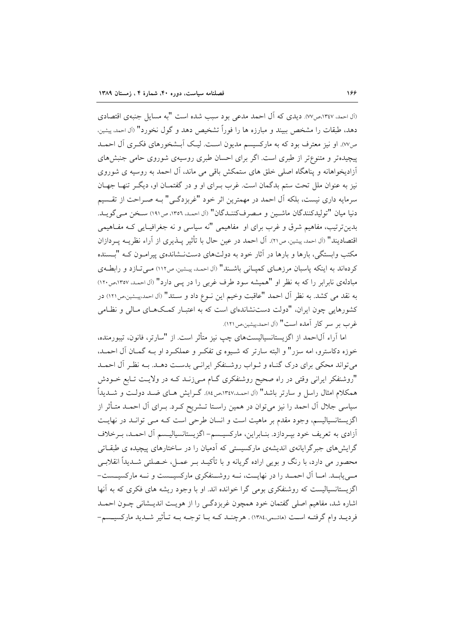(آل احمد، ۱۳٤۷،ص۷۷). دیدی که آل احمد مدعی بود سبب شده است "به مسایل جنبهی اقتصادی دهد، طبقات را مشخص ببیند و مبارزه ها را فوراً تشخیص دهد و گول نخورد" (آل احمد، پیشین، ص٧٧). او نیز معترف بود که به مارکسیسم مدیون است. لیـک آبــشخورهای فکــری آل احمــد پیچیدهتر و متنوعتر از طبری است. اگر برای احسان طبری روسیهی شوروی حامی جنبش های آزادیخواهانه و پناهگاه اصلی خلق های ستمکش باقی می ماند، آل احمد به روسیه ی شوروی نیز به عنوان ملل تحت ستم بدگمان است. غرب بـرای او و در گفتمــان او، دیگــر تنهــا جهــان سرمايه داري نيست، بلكه آل احمد در مهمترين اثر خود "غربزدگـي" بــه صــراحت از تقــسيم دنيا ميان "توليدكنندگان ماشيين و مـصرفكننـدگان" (آل احمـد، ١٣٥٦، ص١٩١) سـخن مـي گويــد. بدین ترتیب، مفاهیم شرق و غرب برای او ً مفاهیمی "نه سیاسی و نه جغرافیـایی کـه مفـاهیمی اقتصاديند" (آل احمد، پيشين، ص٢١). آل احمد در عين حال با تأثير پيذيري از آراء نظريــه پيردازان مکتب وابستگی، بارها و بارها در آثار خود به دولتهای دستنــشاندهی پیرامـون کــه "بــسنده کردهاند به اینکه پاسبان مرزهـای کمپـانی باشـند" (آل احمـد، پیـشین، ص١١٢) مـیتـازد و رابطـهی مبادلهی نابرابر را که به نظر او "همیشه سود طرف غربی را در یـی دارد" (آل احمـد، ۱۳۵۷،ص۱۲۰) به نقد می کشد. به نظر آل احمد "عاقبت وخیم این نــوع داد و ســتد" (آل احمد،پیـشین،ص١٢١) در کشورهایی چون ایران، "دولت دستنشاندهای است که به اعتبـار کمـکهـای مـالی و نظـامی غرب بر سر كار آمده است" (آل احمد،پیشین،ص١٢١).

اما آراء آل\حمد از اگزیستانسیالیستهای چپ نیز متأثر است. از "سارتر، فانون، تیبورمنده، خوزه دکاسترو، امه سزر" و البته سارتر که شـیوه ی تفکـر و عملکـرد او بـه گمـان آل احمـد. می تواند محکی برای درک گنـاه و ثـواب روشـنفکر ایرانـی بدسـت دهـد. بـه نظـر آل احمـد "روشنفکر ایرانی وقتی در راه صحیح روشنفکری گـام مـیزنـد کـه در ولایـت تـابع خــودش همکلام امثال راسل و سارتر باشد" (آل احمـد،۱۳٤۷هـ.۵). گـرایش هـای ضـد دولـت و شــدیداً سیاسی جلال آل احمد را نیز می توان در همین راسـتا تــشریح کـرد. بــرای آل احمــد متــأثر از اگزیستانسیالیسم، وجود مقدم بر ماهیت است و انسان طرحی است کـه مـی توانـد در نهایـت آزادي به تعريف خود بيـردازد. بنـابراين، ماركسيـسم- اگزيستانسياليـسم آل احمـد، بـرخلاف گرایش های جبر گرایانهی اندیشهی مارکسیستی که آدمیان را در ساختارهای پیچیده ی طبقــاتی محصور مي دارد، با رنگ و بويي اراده گريانه و با تأکيــد بــر عمــل، خــصلتي شــديداً انقلابــي مبی یابـد. امـا آل احمـد را در نهایــت، نــه روشــنفکری مارکسیــست و نــه مارکسیــست-اگزیستانسپالیست که روشنفکری بومی گرا خوانده اند. او با وجود ریشه های فکری که به آنها اشاره شد، مفاهیم اصلی گفتمان خود همچون غربزدگے را از هویت اندیـشانی چــون احمــد فرديـد وام گرفتـه اسـت (هاشـمي،١٣٨٤) . هرچنـد کــه بــا توجــه بــه تــأثير شــديد ماركسيــسم–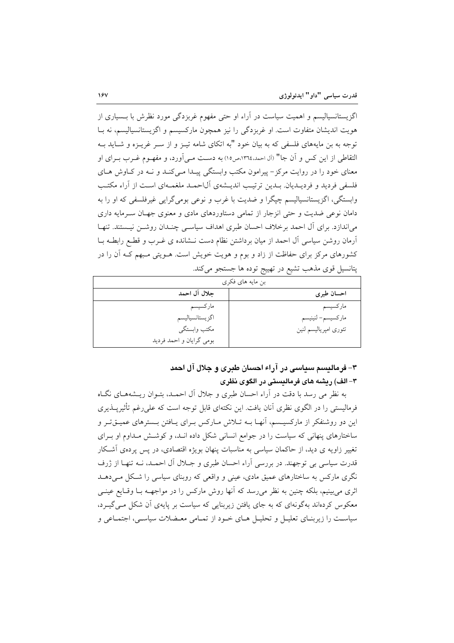اگزیستانسپالیسم و اهمیت سیاست در آراء او حتی مفهوم غربزدگی مورد نظرش با بــسیاری از هویت اندیشان متفاوت است. او غربزدگی را نیز همچون مارکسیسم و اگزیستانسپالیسم، نه بــا توجه به بن مایههای فلسفی که به بیان خود "به اتکای شامه تیـز و از سـر غریـزه و شـاید بـه التقاطي از اين كس و آن جا" (آل احمد،١٣٦٤،ص١٥) به دست مـي آورد، و مفهــوم غــرب بــراي او معنای خود را در روایت مرکز – پیرامون مکتب وابستگی پیـدا مـیکنـد و نــه در کــاوش هــای فلسفی فردید و فردیــدیان. بــدین ترتیــب اندیــشهی آل|حمــد ملغمــهای اســت از آراء مکتــب وابستگی، اگزیستانسیالیسم چیگرا و ضدیت با غرب و نوعی بومیگرایی غیرفلسفی که او را به دامان نوعی ضدیت و حتی انزجار از تمامی دستاوردهای مادی و معنوی جهـان سـرمایه داری می اندازد. برای آل احمد برخلاف احسان طبری اهداف سیاسی چنـدان روشـن نیـستند. تنهـا آرمان روشن سیاسی آل احمد از میان برداشتن نظام دست نـشانده ی غـرب و قطـع رابطـه بــا کشورهای مرکز برای حفاظت از زاد و بوم و هویت خویش است. هــویتی مـبهم کــه آن را در پتانسیل قوی مذهب تشیع در تهییج توده ها جستجو می کند.

|                          | بن مایه های فکری      |
|--------------------------|-----------------------|
| جلال أل احمد             | احسان طبری            |
| ماركسيسم                 | ماركسيسم              |
| اگزيستانسياليسم          | ماركسيسم- لنينيسم     |
| مكتب وابستگى             | تئوري امپرياليسم لنين |
| بومي گرايان و احمد فرديد |                       |

## ۳– فرمالیسم سیاسی در آراء احسان طبری و جلال آل احمد ٣- الف) ريشه هاى فرماليستى در الگوى نظرى

به نظر می رسد با دقت در آراء احسان طبری و جلال آل احمـد، بتـوان ریـشههـای نگـاه فرمالیستی را در الگوی نظری آنان یافت. این نکتهای قابل توجه است که علی رغم تأثیر پــذیری این دو روشنفکر از مارکسیسم، آنهـا بــه تــلاش مــارکس بــرای پــافتن بــسترهای عمیــق تــر و ساختارهای پنهانی که سیاست را در جوامع انسانی شکل داده انـد، و کوشـش مـداوم او بـرای تغییر زاویه ی دید، از حاکمان سیاسی به مناسبات پنهان بویژه اقتصادی، در پس پردهی آشکار قدرت سیاسی بی توجهند. در بررسی آراء احسان طبری و جـلال آل احمـد، نــه تنهــا از ژرف نگری مارکس به ساختارهای عمیق مادی، عینی و واقعی که روبنای سیاسی را شکل مبی دهــد اثری می بینیم، بلکه چنین به نظر می رسد که آنها روش مارکس را در مواجهــه بــا وقــایع عینــی معکوس کردهاند بهگونهای که به جای یافتن زیربنایی که سیاست بر پایهی اَن شکل مـیگیـرد، سیاست را زیربنـای تعلیـل و تحلیـل هـای خـود از تمـامی معـضلات سیاسـی، اجتمـاعی و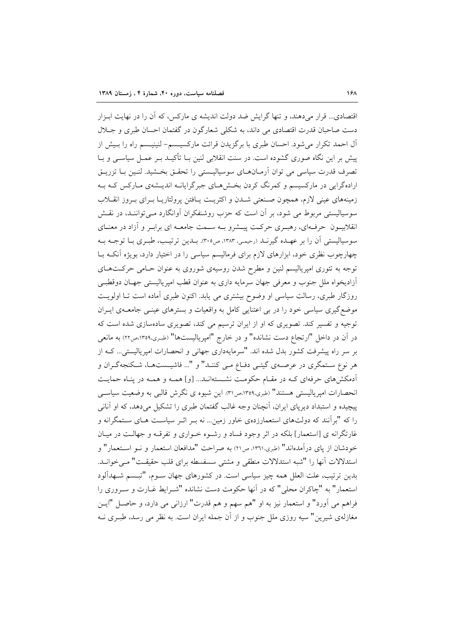اقتصادی... قرار می دهند، و تنها گرایش ضد دولت اندیشه ی مارکس، که آن را در نهایت ابـزار دست صاحبان قدرت اقتصادی می داند، به شکلی شعارگون در گفتمان احسان طبری و جـلال آل احمد تکرار میشود. احسان طبری با برگزیدن قرائت مارکسیـسم- لنینیـسم راه را بـیش از پیش بر این نگاه صوری گشوده است. در سنت انقلابی لنین بـا تأکیــد بــر عمــل سیاســی و بــا تصرف قدرت سياسي مي توان آرمـانهـاي سوسياليـستي را تحقـق بخـشيد. لنـين بـا تزريـق ارادهگرایی در مارکسیسم و کمرنگ کردن بخشهای جبرگرایانـه اندیـشهی مـارکس کـه بـه زمینههای عینی لازم، همچون صنعتی شدن و اکثریت پافتن پرولتاریـا بـرای بـروز انقــلاب سوسیالیستی مربوط می شود، بر آن است که حزب روشنفکران آوانگارد مے تواننـد، در نقـش انقلابیــون حرفــهای، رهبــری حرکــت پیــشرو بــه ســمت جامعــه ای برابــر و آزاد در معنــای سوسیالیستی آن را بر عهـده گیرنـد (رحیمی، ۱۳۸۳، ص۳۰۵). بـدین ترتیـب، طبـری بـا توجـه بـه چهارچوب نظری خود، ابزارهای لازم برای فرمالیسم سیاسی را در اختیار دارد، بویژه آنکـه بــا توجه به تئوری امپریالیسم لنین و مطرح شدن روسیهی شوروی به عنوان حـامی حرکـتهـای آزادیخواه ملل جنوب و معرفی جهان سرمایه داری به عنوان قطب امپریالیستی جهـان دوقطبـی روزگار طبری، رسالت سیاسی او وضوح بیشتری می یابد. اکنون طبری آماده است تــا اولویــت موضع گیری سیاسی خود را در بی اعتنایی کامل به واقعیات و بسترهای عینـی جامعـهی ایـران توجیه و تفسیر کند. تصویری که او از ایران ترسیم می کند، تصویری سادهسازی شده است که در آن در داخل "ارتجاع دست نشانده" و در خارج "امپریالیستها" (طبری،۱۳۵۹،ص۲۲) به مانعی بر سر راه پیشرفت کشور بدل شده اند. "سرمایهداری جهانی و انحصارات امپریالیستی... کـه از هر نوع سـتمگري در عرصـهي گيتـي دفـاع مـي كننـد" و "... فاشيـستهـا، شـكنجهگـران و أدمكشهای حرفهای كـه در مقـام حكومـت نشــستهانــد... [و] همــه و همــه در پنــاه حمايـت انحصارات امیریالیستی هستند" (طبری،۱۳۵۹هـر۳۱). این شیوه ی نگرش قالبی به وضعیت سیاســی پیچیده و استبداد دیریای ایران، آنچنان وجه غالب گفتمان طبری را تشکیل میدهد، که او آنانی را که "برآنند که دولتهای استعمارزدهی خاور زمین... نه بـر اثـر سیاسـت هـای سـتمگرانه و غارتگرانه ی [استعمار] بلکه در اثر وجود فساد و رشـوه خـواری و تفرقـه و جهالـت در میـان خودشان از یای درآمدهاند" (طبری،۱۳٦۱، ص۲۱) به صراحت "مدافعان استعمار و نــو اســتعمار" و استدلالات آنها را "شبه استدلالات منطقى و مشتى سسفسطه براى قلب حقيقت" مى خوانـد. بدین ترتیب، علت العلل همه چیز سیاسی است. در کشورهای جهان سـوم، "تبـسم شـهدالود استعمار" به "چاکران محلی" که در آنها حکومت دست نشانده "شـرایط غـارت و سـروری را فراهم مي آورد" و استعمار نيز به او "هم سهم و هم قدرت" ارزاني مي دارد، و حاصل "ايـن مغازلهی شیرین" سیه روزی ملل جنوب و از آن جمله ایران است. به نظر می رسد، طبـری نــه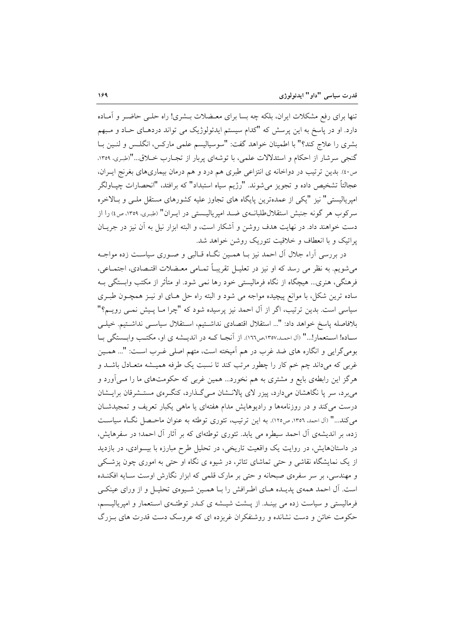تنها برای رفع مشکلات ایران، بلکه چه بسا برای معـضلات بــشری! راه حلــی حاضـر و آمــاده دارد. او در پاسخ به این پرسش که "کدام سیستم ایدئولوژیک می تواند دردهـای حـاد و مـبهم بشري را علاج كند؟" با اطمينان خواهد گفت: "سوسياليسم علمي ماركس، انگلـس و لنـين بــا گنجی سرشار از احکام و استدلالات علمی، با توشهای پربار از تجـارب خــلاق..."(طبـری، ۱۳۵۹، ص٤٠). بدين ترتيب در دواخانه ي انتزاعي طبري هم درد و هم درمان بيماريهاي بغرنج ايـران، عجالتاً تشخيص داده و تجويز مي شوند. "رژيم سياه استبداد" كه برافتد، "انحصارات چپــاولگر امیریالیستی" نیز "یکی از عمدهترین پایگاه های تجاوز علیه کشورهای مستقل ملـی و بـالاخره سرکوب هر گونه جنبش استقلال طلبانــهي ضــد اميرياليــستي در ايــران" (طبـري، ١٣٥٩، ص٤) را از دست خواهند داد. در نهایت هدف روشن و آشکار است، و البته ابزار نیل به آن نیز در جریـان یراتیک و با انعطاف و خلاقیت تئوریک روشن خواهد شد.

در بررسی آراء جلال آل احمد نیز بــا همــین نگــاه قــالبی و صــوری سیاســت زده مواجــه می شویم. به نظر می رسد که او نیز در تعلیـل تقریبـاً تمـامی معـضلات اقتـصادی، اجتمـاعی، فرهنگی، هنری... هیچگاه از نگاه فرمالیستی خود رها نمی شود. او متأثر از مکتب وابستگی بـه ساده ترین شکل، با موانع پیچیده مواجه می شود و البته راه حل هـای او نیـز همچـون طبـری سیاسی است. بدین ترتیب، اگر از آل احمد نیز پرسیده شود که "چرا مـا پـیش نمـی رویــم؟" بلافاصله ياسخ خواهد داد: "... استقلال اقتصادى نداشتيم، استقلال سياسـي نداشـتيم. خيلـي سـاده! اسـتعمار!..." (آل احمـد،١٣٥٧،ص١٦٦). از أنجـا كـه در انديـشه ي او، مكتـب وابـستگي بـا بومیگرایی و انگاره های ضد غرب در هم آمیخته است، متهم اصلی غـرب اسـت: "... همـین غربی که میداند چم خم کار را چطور مرتب کند تا نسبت یک طرفه همیـشه متعـادل باشـد و هرگز این رابطهی بایع و مشتری به هم نخورد... همین غربی که حکومتهای ما را مـی[ورد و می برد، سر یا نگاهشان میدارد، پیزر لای پالانـشان مـی گـذارد، کنگـروی مستـشرقان برایـشان درست می کند و در روزنامهها و رادیوهایش مدام هفتهای یا ماهی یکبار تعریف و تمجیدشان میکند…" (آل احمد، ۱۳۵۲، ص۱۲۵). به این ترتیب، تئوری توطئه به عنوان ماحـصل نگـاه سیاسـت زده، بر اندیشهی آل احمد سیطره می یابد. تئوری توطئهای که بر آثار آل احمد؛ در سفرهایش، در داستانهایش، در روایت یک واقعیت تاریخی، در تحلیل طرح مبارزه با بیسوادی، در بازدید از یک نمایشگاه نقاشی و حتی تماشای تئاتر، در شیوه ی نگاه او حتی به اموری چون پزشکی و مهندسی، بر سر سفرهی صبحانه و حتی بر مارک قلمی که ابزار نگارش اوست سـایه افکنــده است. آل احمد همهي پديـده هـاي اطـرافش را بــا همـين شـيوهي تحليـل و از وراي عينكـي فرمالیستی و سیاست زده می بینـد. از پـشت شیـشه ی کـدر توطئـهی اسـتعمار و امیریالیـسم، حکومت خائن و دست نشانده و روشنفکران غربزده ای که عروسک دست قدرت های بـزرگ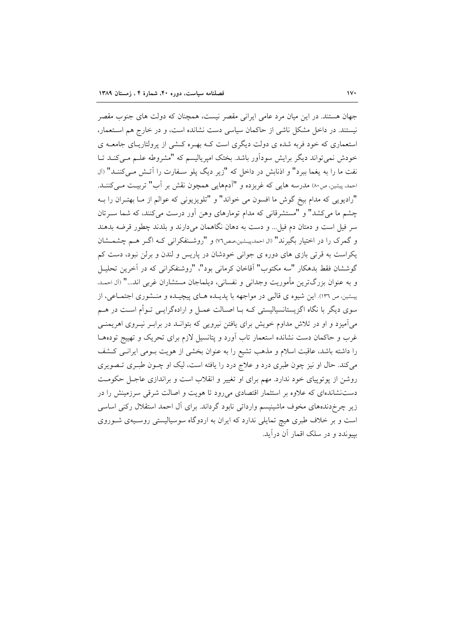جهان هستند. در این میان مرد عامی ایرانی مقصر نیست، همچنان که دولت های جنوب مقصر نیستند. در داخل مشکل ناشی از حاکمان سیاسی دست نشانده است، و در خارج هم استعمار، استعماری که خود فربه شده ی دولت دیگری است کـه بهـره کـشی از پرولتاریـای جامعـه ی خودش نمی تواند دیگر برایش سودآور باشد. بختک امیرپالیسم که "مشروطه علـم مـی کنـد تـا نفت ما را به يغما ببرد" و اذنابش در داخل كه "زير ديگ پلو سـفارت را آتـش مـي كننـد" (آل احمد، پیشین، ص۸۰) مدرسه هایی که غربزده و "آدمهایی همچون نقش بر آب" تربیت مـیکننـد. "رادیویی که مدام بیخ گوش ما افسون می خواند" و "تلویزیونی که عوالم از مـا بهتـران را بـه چشم ما میکشد" و "مستشرقانی که مدام تومارهای وهن آور درست میکنند، که شما سرتان سر فيل است و دمتان دم فيل... و دست به دهان نگاهمان مي دارند و بلدند چطور قرضه بدهند و گمرک را در اختیار بگیرند" (ال احمد،پیشین،صص۷۲) و "روشـنفکرانی کـه اگـر هـم چشمـشان یکراست به قرتی بازی های دوره ی جوانی خودشان در پاریس و لندن و برلن نبود، دست کم گوششان فقط بدهکار "سه مکتوب" اّقاخان کرمانی بود"، "روشنفکرانی که در آخرین تحلیـل و به عنوان بزرگترین مأموریت وجدانی و نفسانی، دیلماجان مستشاران غربی اند…" (آل احمد. پیشین، ص ١٣٦). این شیوه ی قالبی در مواجهه با پدیـده هـای پیچیـده و منـشوری اجتمـاعی، از سوی دیگر با نگاه اگزیستانسیالیستی کـه بــا اصــالت عمــل و ارادهگرایــی تــوأم اســت در هــم میآمیزد و او در تلاش مداوم خویش برای یافتن نیرویی که بتوانــد در برابــر نیــروی اهریمنــی غرب و حاکمان دست نشانده استعمار تاب آورد و پتانسیل لازم برای تحریک و تهییج تودههـا را داشته باشد، عاقبت اسلام و مذهب تشیع را به عنوان بخشی از هویت بـومی ایرانــی کـشف می کند. حال او نیز چون طبری درد و علاج درد را یافته است، لیک او چــون طبــری تــصویری روشن از پوتوپیای خود ندارد. مهم برای او تغییر و انقلاب است و براندازی عاجـل حکومـت دست نشاندهای که علاوه بر استثمار اقتصادی می رود تا هویت و اصالت شرقی سرزمینش را در زیر چرخ دندههای مخوف ماشینیسم وارداتی نابود گرداند. برای آل احمد استقلال رکنی اساسی است و بر خلاف طبری هیچ تمایلی ندارد که ایران به اردوگاه سوسیالیستی روسـیهی شـوروی بییوندد و در سلک اقمار آن درآید.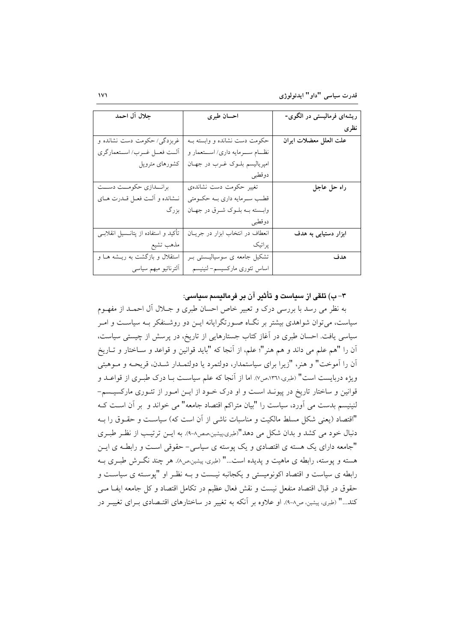| جلال آل احمد                           | احسان طبرى                        | ریشهای فرمالیستی در الگوی- |
|----------------------------------------|-----------------------------------|----------------------------|
|                                        |                                   | نظرى                       |
| غربزدگی/حکومت دست نشانده و             | حکومت دست نشانده و وابسته بــه    | علت العلل معضلات ايران     |
| ألــت فعــل غــرب/ اســتعمارگري        | نظـام ســـرمايه داري/اســـتعمار و |                            |
| كشورهاى متروپل                         | امپریالیسم بلـوک غـرب در جهـان    |                            |
|                                        | دوقطبي                            |                            |
| برانــدازي حكومــت دســت               | تغییر حکومت دست نشاندهی           | راه حل عاجل                |
| نـشانده و ألـت فعـل قــدرت هـاي        | قطب سـرمايه داري بــه حكــومتى    |                            |
| بزرگ                                   | وابسته به بلوک شرق در جهان        |                            |
|                                        | دوقطبي                            |                            |
| تأكيد و استفاده از پتانــسيل انقلابــی | انعطاف در انتخاب ابزار در جريـان  | ابزار دستیابی به هدف       |
| مذهب تشيع                              | پراتيک                            |                            |
| استقلال و بازگشت به ریــشه هــا و      | تشکیل جامعه ی سوسیالیــستی بــر   | هدف                        |
| ألترناتيو مبهم سياسى                   | اساس تئورى ماركسيسم– لنينيسم      |                            |

٣- ب) تلقى از سياست و تأثير آن بر فرماليسم سياسى:

به نظر می رسد با بررسی درک و تعبیر خاص احسان طبری و جـلال آل احمـد از مفهـوم سیاست، می توان شواهدی بیشتر بر نگـاه صـورتگرایانه ایــن دو روشــنفکر بــه سیاســت و امــر سیاسی یافت. احسان طبری در آغاز کتاب جستارهایی از تاریخ، در پرسش از چیستی سیاست، أن را "هم علم مي داند و هم هنر "؛ علم، از أنجا كه "بايد قوانين و قواعد و سـاختار و تــاريخ آن را آموخت" و هنر، "زيرا براي سياستمدار، دولتمرد يا دولتمـدار شـدن، قريحـه و مـوهبتي ویژه دربایست است" (طبری،۱۳٦۱،ص۷). اما از آنجا که علم سیاسـت بــا درک طبــری از قواعــد و قوانین و ساختار تاریخ در پیونـد اسـت و او درک خـود از ایـن امـور از تئـوری مارکسیـسم-لنینیسم بدست می آورد، سیاست را "بیان متراکم اقتصاد جامعه" می خواند و بر آن اسـت کـه "اقتصاد (يعني شكل مسلط مالكيت و مناسبات ناشي از آن است كه) سياست و حقـوق را بـه دنبال خود می کشد و بدان شکل می دهد"(طبری،پیشین،صص۸-۹). به ایــن ترتیـب از نظـر طبــری "جامعه دارای یک هسته ی اقتصادی و یک پوسته ی سیاسی- حقوقی است و رابطـه ی ایــن هسته و پوسته، رابطه ی ماهیت و پدیده است…" (طبری، پیشین،ص۸). هر چند نگـرش طبـری بـه رابطه ی سیاست و اقتصاد اکونومیستی و یکجانبه نیـست و بـه نظـر او "پوسـته ی سیاسـت و حقوق در قبال اقتصاد منفعل نيست و نقش فعال عظيم در تكامل اقتصاد و كل جامعه ايف مـي کند…" (طبری، پیشین، ص۸-۹). او علاوه بر آنکه به تغییر در ساختارهای اقتـصادی بـرای تغییـر در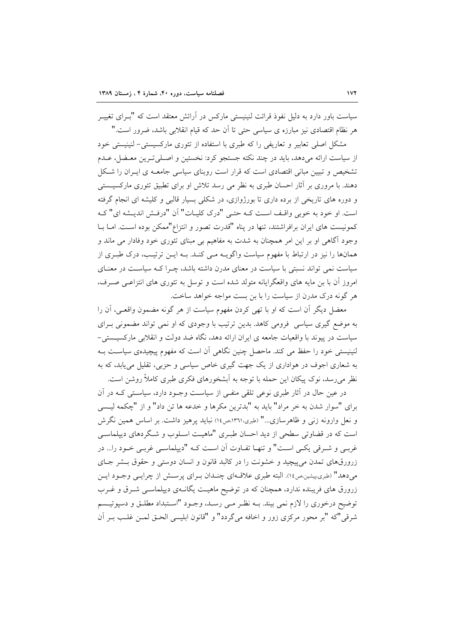سیاست باور دارد به دلیل نفوذ قرائت لنینیستی مارکس در آرائش معتقد است که "بـرای تغییــر هر نظام اقتصادی نیز مبارزه ی سیاسی حتی تا اَن حد که قیام انقلابی باشد، ضرور است."

مشکل اصلی تعابیر و تعاریفی را که طبری با استفاده از تئوری مارکسیستی– لنینیستی خود از سیاست ارائه میدهد، باید در چند نکته جستجو کرد: نخستین و اصـلی تـرین معـضل، عـدم تشخیص و تبیین مبانی اقتصادی است که قرار است روبنای سیاسی جامعـه ی ایـران را شـکل دهند. با مروری بر آثار احسان طبری به نظر می رسد تلاش او برای تطبیق تئوری مارکسیــستی و دوره های تاریخی از برده داری تا بورژوازی، در شکلی بسیار قالبی و کلیشه ای انجام گرفته است. او خود به خوبی واقـف اسـت کـه حتـی "درک کلیـات" اَن "درفـش اندیـشه ای" کـه كمونيست هاى ايران برافراشتند، تنها در پناه "قدرت تصور و انتزاع"ممكن بوده است. امـا بـا وجود آگاهی او بر این امر همچنان به شدت به مفاهیم بی مبنای تئوری خود وفادار می ماند و همانها را نیز در ارتباط با مفهوم سیاست واگویــه مــی کنــد. بــه ایــن ترتیـب، درک طبــری از سیاست نمی تواند نسبتی با سیاست در معنای مدرن داشته باشد، چـرا کـه سیاسـت در معنـای امروز آن با بن مایه های واقعگرایانه متولد شده است و توسل به تئوری های انتزاعـی صـرف، هر گونه درک مدرن از سیاست را با بن بست مواجه خواهد ساخت.

معضل دیگر آن است که او با تهی کردن مفهوم سیاست از هر گونه مضمون واقعـی، آن را به موضع گیری سیاسی فرومی کاهد. بدین ترتیب با وجودی که او نمی تواند مضمونی بـرای سیاست در پیوند با واقعیات جامعه ی ایران ارائه دهد، نگاه ضد دولت و انقلابی مارکسیـستی-لنینیستی خود را حفظ می کند. ماحصل چنین نگاهی آن است که مفهوم پیچیدهی سیاست بـه به شعاری اجوف در هواداری از یک جهت گیری خاص سیاسی و حزبی، تقلیل می یابد، که به نظر میرسد، نوک پیکان این حمله با توجه به اَبشخورهای فکری طبری کاملاً روشن است.

در عین حال در آثار طبری نوعی تلقی منفـی از سیاسـت وجـود دارد، سیاسـتی کـه در آن براي "سوار شدن به خر مراد" بايد به "بدترين مكرها و خدعه ها تن داد" و از "چكمه ليـسى و نعل وارونه زنبی و ظاهرسازی..." (طبری،١٣٦١،ص١٤) نباید پرهیز داشت. بر اساس همین نگرش است که در قضاوتی سطحی از دید احسان طبـری "ماهیـت اسـلوب و شـگردهای دیپلماسـی غربے و شیرقی یکے است" و تنها تفیاوت اَن است کیه "دیپلماسے غربے خیود را... در زرورقهای تمدن می پیچید و خشونت را در کالبد قانون و انسان دوستی و حقوق بــشر جــای میدهد" (طبری،پیشین،ص۱٤). البته طبری علاقـهای چنـدان بـرای پرسـش از چرایـی وجـود ایـن زرورق های فریبنده ندارد، همچنان که در توضیح ماهیـت یگانــهی دیپلماســی شــرق و غــرب توضيح درخوري را لازم نمي بيند. بــه نظـر مــي رســد، وجــود "اســتبداد مطلــق و دسپوتيــسم شرقي"كه "بر محور مركزي زور و اخافه ميگردد" و "قانون ابليسي الحـق لمـن غلـب بـر آن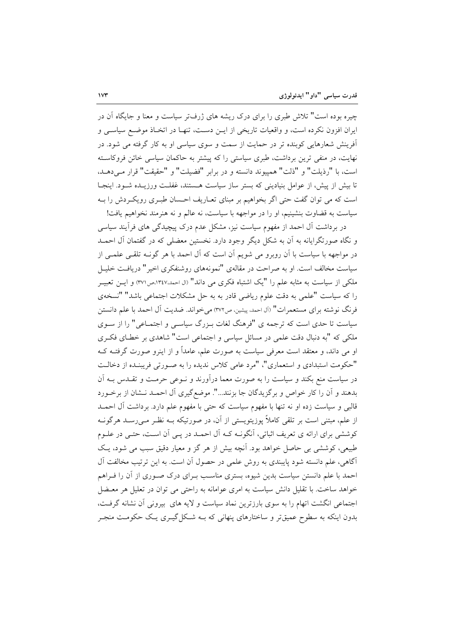چیره بوده است" تلاش طبری را برای درک ریشه های ژرفتر سیاست و معنا و جایگاه آن در ایران افزون نکرده است، و واقعیات تاریخی از ایـن دسـت، تنهـا در اتخـاذ موضـع سیاسـی و آفرینش شعارهایی کوبنده تر در حمایت از سمت و سوی سیاسی او به کار گرفته می شود. در نهایت، در منفی ترین برداشت، طبری سیاستی را که پیشتر به حاکمان سیاسی خائن فروکاســته است، با "رذيلت" و "ذلت" همييوند دانسته و در برابر "فضيلت" و "حقيقت" قرار مـى دهـد، تا بیش از پیش، از عوامل بنیادینی که بستر ساز سیاست هستند، غفلت ورزیـده شـود. اینجـا است که می توان گفت حتی اگر بخواهیم بر مبنای تعـاریف احـسان طبـری رویکـردش را بـه سیاست به قضاوت بنشینیم، او را در مواجهه با سیاست، نه عالم و نه هنرمند نخواهیم یافت!

در برداشت آل احمد از مفهوم سیاست نیز، مشکل عدم درک پیچیدگی های فرآیند سیاسی و نگاه صورتگرایانه به آن به شکل دیگر وجود دارد. نخستین معضلی که در گفتمان آل احمــد در مواجهه با سیاست با آن روبرو می شویم آن است که آل احمد با هر گونــه تلقــی علمــی از سیاست مخالف است. او به صراحت در مقالهی "نمونههای روشنفکری اخیر" دریافت خلیـل ملکی از سیاست به مثابه علم را "یک اشتباه فکری می داند" (ال احمد،۱۳٤۷،ص۳۷۱) و ایــن تعبیــر را که سیاست "علمی به دقت علوم ریاضی قادر به به حل مشکلات اجتماعی باشد" "نسخهی فرنگ نوشته برای مستعمرات" (آل احمد، پیشین، ص۳۷۲) می خواند. ضدیت آل احمد با علم دانستن سیاست تا حدی است که ترجمه ی "فرهنگ لغات بـزرگ سیاسـی و اجتمـاعی" را از سـوی ملکی که "به دنبال دقت علمی در مسائل سیاسی و اجتماعی است" شاهدی بر خطای فکری او می داند، و معتقد است معرفی سیاست به صورت علم، عامداً و از اینرو صورت گرفتـه کـه "حكومت استبدادي و استعماري"، "مرد عامي كلاس نديده را به صورتي فريبنـده از دخالـت در سیاست منع بکند و سیاست را به صورت معما درآورند و نــوعی حرمــت و تقــدس بــه آن بدهند و آن را كار خواص و برگزیدگان جا بزنند...". موضع گیری آل احمـد نـشان از برخـورد قالبی و سیاست زده او نه تنها با مفهوم سیاست که حتی با مفهوم علم دارد. برداشت آل احمــد از علم، مبتنی است بر تلقی کاملاً پوزیتویستی از آن، در صورتیکه بــه نظـر مــی(ســد هرگونــه کوششی برای ارائه ی تعریف اثباتی، آنگونـه کـه آل احمـد در یـی آن اسـت، حتـی در علـوم طبیعی، کوششی بی حاصل خواهد بود. اَنچه بیش از هر گز و معیار دقیق سبب می شود، یک آگاهی، علم دانسته شود پایبندی به روش علمی در حصول آن است. به این ترتیب مخالفت آل احمد با علم دانستن سیاست بدین شیوه، بستری مناسب بـرای درک صـوری از آن را فـراهم خواهد ساخت. با تقلیل دانش سیاست به امری عوامانه به راحتی می توان در تعلیل هر معـضل اجتماعی انگشت اتهام را به سوی بارزترین نماد سیاست و لایه های بیرونی آن نشانه گرفت، بدون اینکه به سطوح عمیقتر و ساختارهای پنهانی که بـه شـکل گیـری یـک حکومـت منجـر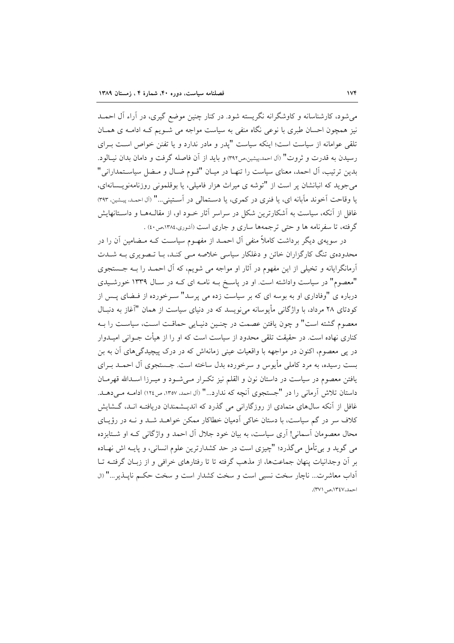می شود، کارشناسانه و کاوشگرانه نگریسته شود. در کنار چنین موضع گیری، در آراء آل احمــد نیز همچون احسان طبری با نوعی نگاه منفی به سیاست مواجه می شـویم کـه ادامـه ی همـان تلقی عوامانه از سیاست است؛ اینکه سیاست "پدر و مادر ندارد و یا تفنن خواص است بـرای رسیدن به قدرت و ثروت" (آل احمد،پیشین،ص۳۹۲) و باید از آن فاصله گرفت و دامان بدان نیـالود. بدین ترتیب، آل احمد، معنای سیاست را تنهـا در میـان "قـوم ضـال و مـضل سیاسـتمدارانی" می جوید که انبانشان پر است از "توشه ی میراث هزار فامیلی، یا بوقلمونی روزنامهنویسانهای، یا وقاحت آخوند مآبانه ای، یا فنری در کمری، یا دستمالی در آستینی..." (آل احمد، پیشین، ۳۹۳) غافل از آنکه، سیاست به آشکارترین شکل در سراسر آثار خــود او، از مقالــههــا و داســتانهایش گرفته، تا سفرنامه ها و حتی ترجمهها ساری و جاری است (آشوری،۱۳۸٤،ص۱۰) .

در سویهی دیگر برداشت کاملاً منفی آل احمـد از مفهــوم سیاســت کــه مــضامین آن را در محدودهی تنگ کارگزاران خائن و دغلکار سیاسی خلاصه مـی کنـد، بـا تـصویری بـه شـدت آرمانگرایانه و تخیلی از این مفهوم در آثار او مواجه می شویم، که آل احمـد را بـه جـستجوی "معصوم" در سیاست واداشته است. او در پاسخ بـه نامـه ای کـه در سـال ۱۳۳۹ خورشـیدی درباره ی "وفاداری او به بوسه ای که بر سیاست زده می پرسد" سـرخورده از فـضای پـس از کودتای ۲۸ مرداد، با واژگانی مأیوسانه می نویسد که در دنیای سیاست از همان "آغاز به دنبـال معصوم گشته است" و چون یافتن عصمت در چنـین دنیـایی حماقـت اسـت، سیاسـت را بـه کناری نهاده است. در حقیقت تلقی محدود از سیاست است که او را از هیأت جــوانی امیــدوار در پی معصوم، اکنون در مواجهه با واقعیات عینی زمانهاش که در درک پیچیدگیهای آن به بن بست رسیده، به مرد کاملی مأیوس و سرخورده بدل ساخته است. جـستجوی آل احمــد بــرای یافتن معصوم در سیاست در داستان نون و القلم نیز تکـرار مـیشـود و میـرزا اسـدالله قهرمـان داستان تلاش آرمانی را در "جستجوی آنچه که ندارد..." (آل احمد، ۱۳۵۷، ص۱۲۶) ادامـه مـیدهــد. غافل از آنکه سالهای متمادی از روزگارانی می گذرد که اندیـشمندان دریافتـه انـد، گـشایش کلاف سر در گم سیاست، با دستان خاکی آدمیان خطاکار ممکن خواهـد شـد و نـه در رؤیـای محال معصومان آسمانی! آری سیاست، به بیان خود جلال آل احمد و واژگانی کـه او شــتابزده می گوید و بے تأمل می گذرد؛ "چیزی است در حد کشدار ترین علوم انسانی، و پایـه اش نهـاده بر آن وجدانیات پنهان جماعتها، از مذهب گرفته تا تا رفتارهای خرافی و از زبـان گرفتــه تــا أداب معاشرت... ناچار سخت نسبی است و سخت کشدار است و سخت حکیم ناپیذیر ..." (ال احمد،١٣٤٧،ص ٣٧١).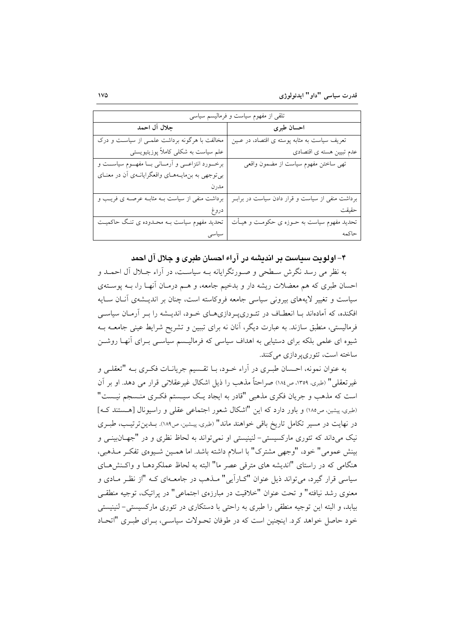| تلقی از مفهوم سیاست و فرمالیسم سیاسی                      |                                                  |  |
|-----------------------------------------------------------|--------------------------------------------------|--|
| جلال اَل احمد                                             | احسان طبرى                                       |  |
| مخالفت با هرگونه برداشت علمـی از سیاسـت و درک             | تعریف سیاست به مثابه پوسته ی اقتصاد، در عـین     |  |
| علم سیاست به شکلی کاملاً پوزیتیویستی                      | عدم تبیین هسته ی اقتصادی                         |  |
| برخــورد انتزاعـــي و آرمـــاني بـــا مفهـــوم سياســـت و | تهي ساختن مفهوم سياست از مضمون واقعي             |  |
| بی توجهی به بنهایــههــای واقعگرایانــهی آن در معنــای    |                                                  |  |
| مدرن                                                      |                                                  |  |
| برداشت منفی از سیاست بــه مثابــه عرصــه ی فریــب و       | برداشت منفی از سیاست و قرار دادن سیاست در برابـر |  |
| دروغ                                                      | حقيقت                                            |  |
| تحدید مفهوم سیاست بــه محــدوده ی تنــگ حاکمیــت          | تحدید مفهوم سیاست به حــوزه ی حکومــت و هیــأت   |  |
|                                                           | حاكمه                                            |  |

۴– اولویت سیاست پر اندیشه در آراء احسان طبری و جلال آل احمد

به نظر می رسد نگرش سطحی و صـورتگرایانه بـه سیاسـت، در آراء جـلال آل احمـد و احسان طبری که هم معضلات ریشه دار و بدخیم جامعه، و هـم درمـان آنهـا را، بــه پوســتهی سیاست و تغییر لایههای بیرونی سیاسی جامعه فروکاسته است، چنان بر اندیـشهی آنـان سـایه افکنده، که آمادهاند بـا انعطـاف در تئـوري5پـردازيهـاي خـود، انديــشه را بـر آرمـان سياســي فرمالیستی، منطبق سازند. به عبارت دیگر، آنان نه برای تببین و تشریح شرایط عینی جامعــه بــه شیوه ای علمی بلکه برای دستیابی به اهداف سیاسی که فرمالیـسم سیاســی بــرای آنهـا روشــن ساخته است، تئوري پر دازي مي كنند.

به عنوان نمونه، احـسان طبـري در أراء خـود، بـا تقـسيم جريانـات فكـرى بـه "تعقلـي و غیر تعقلی " (طبری، ١٣٥٩، ص١٨٤) صراحتاً مذهب را ذیل اشکال غیرعقلانی قرار می دهد. او بر آن است که مذهب و جریان فکری مذهبی "قادر به ایجاد یـک سیـستم فکـری منـسجم نیـست" (طبری، پیشین، ص١٨٥) و باور دارد كه این "اشكال شعور اجتماعی عقلی و راسیونال [هستند ك] در نهایت در مسیر تکامل تاریخ باقی خواهند ماند" (طبری، پیشین، ص۱۸۹). بـدین ترتیب، طبـری نیک میداند که تئوری مارکسیستی- لنینیستی او نمی تواند به لحاظ نظری و در "جهـانبینــی و بينش عمومي" خود، "وجهي مشترك" با اسلام داشته باشد. اما همـين شـيوهي تفكـر مـذهبي، هنگامی که در راستای "اندیشه های مترقی عصر ما" البته به لحاظ عملکردهـا و واکـنشهـای سیاسی قرار گیرد، میتواند ذیل عنوان "کبارایی" مـذهب در جامعـهای کـه "از نظـر مـادی و معنوي رشد نيافته" و تحت عنوان "خلاقيت در مبارزهي اجتماعي" در پراتيک، توجيه منطقـي بیابد، و البته این توجیه منطقی را طبری به راحتی با دستکاری در تئوری مارکسیستی- لنینیستی خود حاصل خواهد کرد. اینچنین است که در طوفان تحـولات سیاسـی، بـرای طبـری "اتحـاد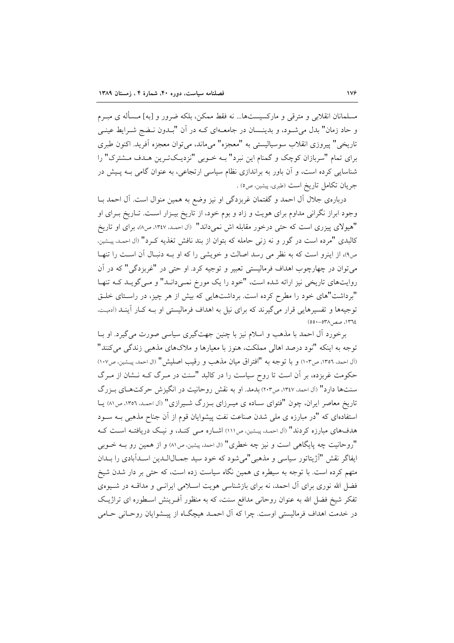مسلمانان انقلابی و مترقی و مارکسیستها... نه فقط ممکن، بلکه ضرور و [به] مــسأله ی مبـرم و حاد زمان" بدل می شـود، و بدینـسان در جامعـهای کـه در آن "بـدون نـضج شـرایط عینـی تاريخي" پيروزي انقلاب سوسياليستي به "معجزه" ميءاند، مي توان معجزه آفريد. اكنون طبري برای تمام "سربازان کوچک و گمنام این نبرد" بـه خـوبی "نزدیـکتـرین هـدف مـشترک" را شناسایی کرده است، و آن باور به براندازی نظام سیاسی ارتجاعی، به عنوان گامی بـه پـیش در جريان تكامل تاريخ است (طبري، پيشين، ص٥) .

دربارهی جلال آل احمد و گفتمان غربزدگی او نیز وضع به همین منوال است. آل احمد بــا وجود ابراز نگرانی مداوم برای هویت و زاد و بوم خود، از تاریخ بیـزار اسـت. تـاریخ بـرای او "هیولای پیزری است که حتی درخور مقابله اش نمیداند" (آل احمـد، ۱۳٤۷، ص۸)، برای او تاریخ كالبدى "مرده است در گور و نه زنى حامله كه بتوان از بند نافش تغذيه كـرد" (آل احمـد، پيـشين، ص»، از اینرو است که به نظر می رسد اصالت و خویشی را که او بـه دنبـال آن اسـت را تنهـا می توان در چهارچوب اهداف فرمالیستی تعبیر و توجیه کرد. او حتی در "غربزدگی" که در آن روایتهای تاریخی نیز ارائه شده است، "خود را یک مورخ نمـیدانـد" و مـیگویـد کـه تنهـا "برداشت"های خود را مطرح کرده است. برداشتهایی که بیش از هر چیز، در راستای خلـق توجیهها و تفسیرهایی قرار میگیرند که برای نیل به اهداف فرمالیستی او بـه کـار آینـد (ادمیـت. ١٣٦٤، صص١٣٨-٥٥٠)

برخورد آل احمد با مذهب و اسلام نیز با چنین جهتگیری سیاسی صورت می گیرد. او بــا توجه به اینکه "نود درصد اهالی مملکت، هنوز با معیارها و ملاکهای مذهبی زندگی می کنند" (آل احمد، ١٣٥٦، ص١٠٣) و با توجه به "افتراق ميان مذهب و رقيب اصليش" (ال احمد، پيشين، ص١٠٧) حکومت غربزده، بر آن است تا روح سیاست را در کالبد "سنت در مـرگ کــه نــشان از مــرگ سنتها دارد" (آل احمد، ۱۳٤۷، ص۲۰۳) بدمد. او به نقش روحانیت در انگیزش حرکتهای بـزرگ تاریخ معاصر ایران، چون "فتوای سـاده ی میـرزای بـزرگ شـیرازی" (آل احمـد، ١٣٥٦، ص١٨) یـا استفادهای که "در مبارزه ی ملی شدن صناعت نفت پیشوایان قوم از آن جناح مذهبی بـه سـود هدفهای مبارزه کردند" (آل احمد، پیشین، ص١١١) اشباره مبی کنید، و نیک دریافتیه است ک "روحانیت چه پایگاهی است و نیز چه خطری" (ال احمد، پیشین، ص۸۱) و از همین رو بــه خــوبی ايفاگر نقش "آژيتاتور سياسي و مذهبي"مي شود كه خود سيد جمـال(لـدين اسـدآبادي را بــدان متهم کرده است. با توجه به سیطره ی همین نگاه سیاست زده است، که حتی بر دار شدن شیخ فضل الله نوری برای آل احمد، نه برای بازشناسی هویت اسلامی ایرانـی و مداقــه در شــیوهی تفکر شیخ فضل الله به عنوان روحانی مدافع سنت، که به منظور آفـرینش اسـطوره ای تراژیـک در خدمت اهداف فرمالیستی اوست. چرا که آل احمـد هیچگـاه از پیـشوایان روحـانی حـامی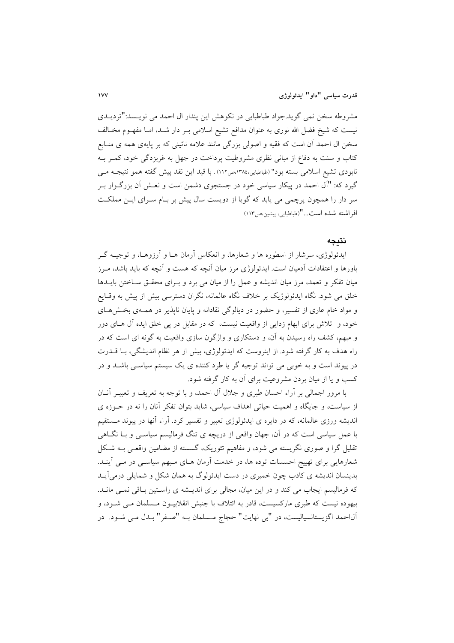مشروطه سخن نمی گوید.جواد طباطبایی در نکوهش این پندار ال احمد می نویسد:"تردیــدی نیست که شیخ فضل الله نوری به عنوان مدافع تشیع اسلامی بـر دار شـد، امـا مفهـوم مخـالف سخن ال احمد أن است كه فقيه و اصولي بزرگي مانند علامه نائيني كه بر پايهي همه ي منـابع کتاب و سنت به دفاع از مبانی نظری مشروطیت پرداخت در جهل به غربزدگی خود، کمـر بـه نابودی تشیع اسلامی بسته بود" (طباطبایی،۱۳۸٤،ص۱۱۲). با قید این نقد پیش گفته همو نتیجــه مــی گیرد که: "آل احمد در پیکار سیاسی خود در جستجوی دشمن است و نعـش آن بزرگــوار بــر سر دار را همچون پرچمی می یابد که گویا از دویست سال پیش بر بـام سـرای ایــن مملکـت افر اشته شده است..."(طباطبايي، پيشين،ص١١٣)

## نتىجە

ایدئولوژی، سرشار از اسطوره ها و شعارها، و انعکاس آرمان هـا و آرزوهـا، و توجیــه گــر باورها و اعتقادات آدمیان است. ایدئولوژی مرز میان آنچه که هست و آنچه که باید باشد، مـرز میان تفکر و تعمد، مرز میان اندیشه و عمل را از میان می برد و بـرای محقـق سـاختن بایــدها خلق می شود. نگاه ایدئولوژیک بر خلاف نگاه عالمانه، نگران دسترسی بیش از پیش به وقـایع و مواد خام عاری از تفسیر، و حضور در دیالوگی نقادانه و پایان ناپذیر در همهی بخشهای خود، و تلاش برای ابهام زدایی از واقعیت نیست، که در مقابل در یی خلق ایده آل هـای دور و مبهم، کشف راه رسیدن به آن، و دستکاری و واژگون سازی واقعیت به گونه ای است که در راه هدف به کار گرفته شود. از اینروست که ایدئولوژی، بیش از هر نظام اندیشگی، بـا قــدرت در پیوند است و به خوبی می تواند توجیه گر یا طرد کننده ی یک سیستم سیاسـی باشـد و در کسب و یا از میان بردن مشروعیت برای آن به کار گرفته شود.

با مرور اجمالي بر آراء احسان طبري و جلال آل احمد، و با توجه به تعريف و تعبيـر آنــان از سیاست، و جایگاه و اهمیت حیاتی اهداف سیاسی، شاید بتوان تفکر آنان را نه در حـوزه ی اندیشه ورزی عالمانه، که در دایره ی ایدئولوژی تعبیر و تفسیر کرد. آراء آنها در پیوند مستقیم با عمل سیاسی است که در آن، جهان واقعی از دریچه ی تنگ فرمالیسم سیاسـی و بــا نگــاهی تقلیل گرا و صوری نگریسته می شود، و مفاهیم تئوریک، گسسته از مضامین واقعـی بـه شـکل شعارهایی برای تهییج احسسات توده ها، در خدمت آرمان هـای مـبهم سیاسـی در مـی آینــد. بدینسان اندیشه ی کاذب چون خمیری در دست ایدئولوگ به همان شکل و شمایلی درمی آیــد که فرمالیسم ایجاب می کند و در این میان، مجالی برای اندیـشه ی راسـتین بـاقی نمـی مانـد. بیهوده نیست که طبری مارکسیست، قادر به ائتلاف با جنبش انقلابیـون مـسلمان مـی شـود، و آل\حمد اگزیستانسپالیست، در "بی نهایت" حجاج مـسلمان بــه "صــفر" بــدل مــی شــود. در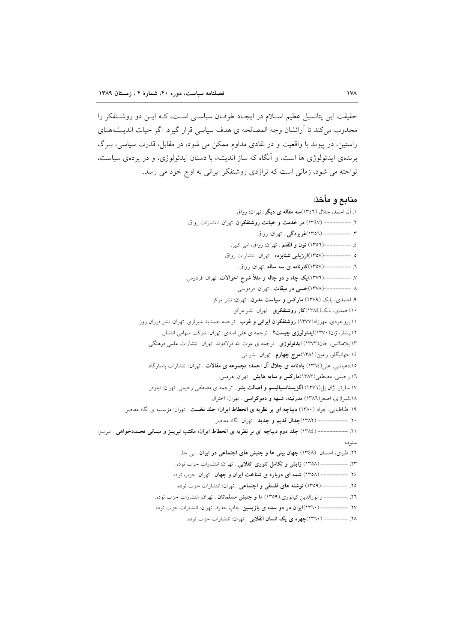حقیقت این پتانسیل عظیم اسلام در ایجاد طوفان سیاسی است، کـه ایـن دو روشـنفکر را مجذوب مي كند تا أرائشان وجه المصالحه ي هدف سياسي قرار گيرد. اگر حيات انديــشههــاي راستین، در پیوند با واقعیت و در نقادی مداوم ممکن می شود، در مقابل، قدرت سیاسی، بـرگ برندهی ایدئولوژی ها است، و آنگاه که ساز اندیشه، با دستان ایدئولوژی، و در پردهی سیاست، نواخته می شود، زمانی است که تراژدی روشنفکر ایرانی به اوج خود می رسد.

## منابع و مأخذ:

١. آل احمد، جلال (١٣٤٢)سه مقاله ي ديگر. تهران: رواق. ٢. --------- (١٣٤٧) در خدمت و خيانت روشنفكران. تهران: انتشارات رواق. ۳. ---------- (١٣٥٦)غربزدگی . تهران: رواق. ٤. –––––––––(١٣٥٦) **نون و القلم** . تهران: رواق، امير كبير. ٥. -----------(١٣٥٧)ارزيابي شتابزده . تهران: انتشارات رواق. ٦. ----------(١٣٥٧)كارنامه ي سه ساله .تهران: رواق. ۷. ----------(۱۳۷٦)یک چاه و دو چاله و مثلاً شرح احوالات. تهران: فردوس. ۸ ----------(۱۳۷۸)خسی در میقات . تهران: فردوسی. ۹. احمدی، بابک (۱۳۷۹) مارکس و سیاست مدرن . تهران: نشر مرکز. ۱۰.احمدی، بابک(۱۳۸٤)کار روشنفکری . تهران: نشر مرکز. ۰۱۱.بروجردی، مهرزاد(۱۳۷۷) **روشنفکران ایرانی و غرب** . ترجمه جمشید شیرازی. تهران: نشر فرزان روز. ۱۲.بشلر، ژان(۱۳۷۰)ایدئولوژی چیست؟ . ترجمه ی علی اسدی. تهران: شرکت سهامی انتشار. ۱۳.پلامناتس، جان(۱۳۷۳) ا**یدئولوژی** . ترجمه ی عزت الله فولادوند. تهران: انتشارات علمی فرهنگی. ١٤.جهانبگلو، رامين(١٣٨١)موج چهارم . تهران: نشر ني. ۰۱۵دهباشی، علی(۱۳۶٤) **یادنامه ی جلال آل احمد؛ مجموعه ی مقالات** . تهران: انتشارات پاسارگاد. ١٦.رحيمي، مصطفى(١٣٨٣)ماركس و سايه هايش . تهران: هرمس. ۱۷.سارتر، ژان پل(۱۳۷٦) ا**گزیستانسیالیسم و اصالت بشر** . ترجمه ی مصطفی رحیمی. تهران: نیلوفر. ١٨.شيرازي، اصغر (١٣٨٦) مدرنيته، شبهه و دموكراسي . تهران: اختران. ۱۹. طباطبایی، جواد (۱۳۸۰) **دیباچه ای بر نظریه ی انحطاط ایران؛ جلد نخست** . تهران: مؤسسه ی نگاه معاصر. ۲۰. ------------ (۱۳۸۲)جدال قدیم و جدید . تهران: نگاه معاصر. .<br>٢١. ---------- (١٣٨٤) جلد دوم ديباجه اي بر نظريه ي انحطاط ايران؛ مكتب تبريــز و مبــاني تجــددخواهي . تبريــز: ستوده. ٢٢. طبري، احسان (١٣٤٨) جهان بيني ها و جنبش هاي اجتماعي در ايران . بي جا. ۲۳. --------- (۱۳۵۸) **زایش و تکامل تئوری انقلابی** . تهران: انتشارات حزب توده. ٢٤. ---------- (١٣٥٨) شمه اي درباره ي شناخت ايران و جهان . تهران: حزب توده. ٢٥. ---------(١٣٥٩) نوشته هاى فلسفى و اجتماعى . تهران: انتشارات حزب توده. ۲٦. -------- و نورالدین کیانوری.(۱۳۵۹) ما و جنبش مسلمانان . تهران: انتشارات حزب توده. ٢٧. --------- (١٣٦٠)ايران در دو سده ي بازيسين. چاپ جديد. تهران: انتشارات حزب توده. ۲۸. -------- (۱۳٦۰)جهره ی یک انسان انقلابی . تهران: انتشارات حزب توده.